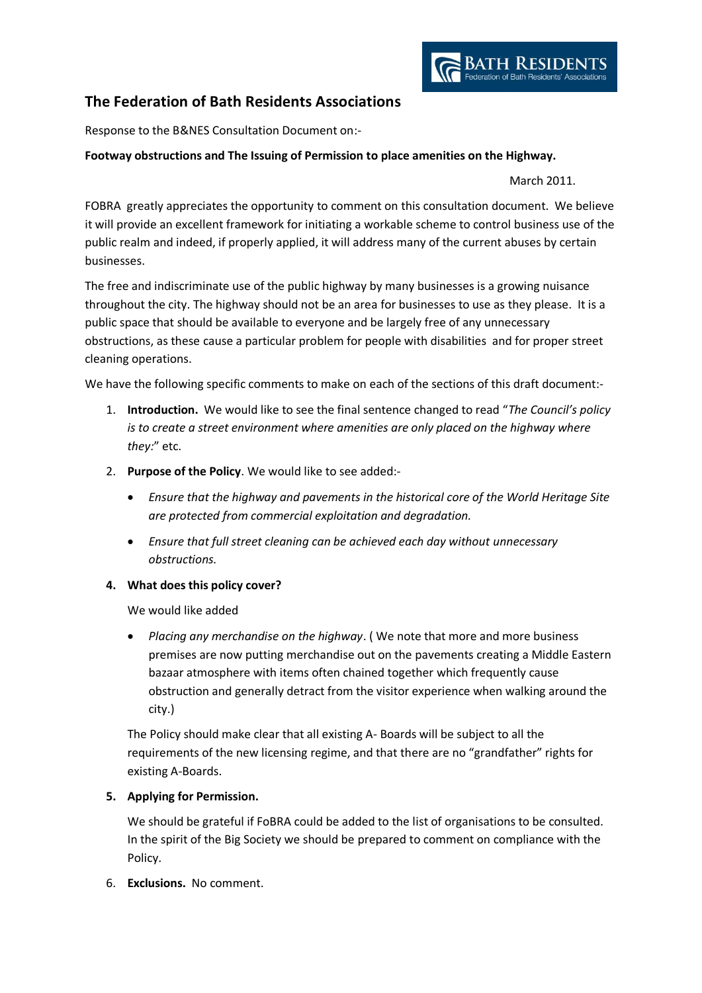# **The Federation of Bath Residents Associations**

Response to the B&NES Consultation Document on:-

#### **Footway obstructions and The Issuing of Permission to place amenities on the Highway.**

March 2011.

FOBRA greatly appreciates the opportunity to comment on this consultation document. We believe it will provide an excellent framework for initiating a workable scheme to control business use of the public realm and indeed, if properly applied, it will address many of the current abuses by certain businesses.

The free and indiscriminate use of the public highway by many businesses is a growing nuisance throughout the city. The highway should not be an area for businesses to use as they please. It is a public space that should be available to everyone and be largely free of any unnecessary obstructions, as these cause a particular problem for people with disabilities and for proper street cleaning operations.

We have the following specific comments to make on each of the sections of this draft document:-

- 1. **Introduction.** We would like to see the final sentence changed to read "*The Council's policy is to create a street environment where amenities are only placed on the highway where they:*" etc.
- 2. **Purpose of the Policy**. We would like to see added:-
	- *Ensure that the highway and pavements in the historical core of the World Heritage Site are protected from commercial exploitation and degradation.*
	- *Ensure that full street cleaning can be achieved each day without unnecessary obstructions.*

## **4. What does this policy cover?**

We would like added

 *Placing any merchandise on the highway*. ( We note that more and more business premises are now putting merchandise out on the pavements creating a Middle Eastern bazaar atmosphere with items often chained together which frequently cause obstruction and generally detract from the visitor experience when walking around the city.)

The Policy should make clear that all existing A- Boards will be subject to all the requirements of the new licensing regime, and that there are no "grandfather" rights for existing A-Boards.

## **5. Applying for Permission.**

We should be grateful if FoBRA could be added to the list of organisations to be consulted. In the spirit of the Big Society we should be prepared to comment on compliance with the Policy.

6. **Exclusions.** No comment.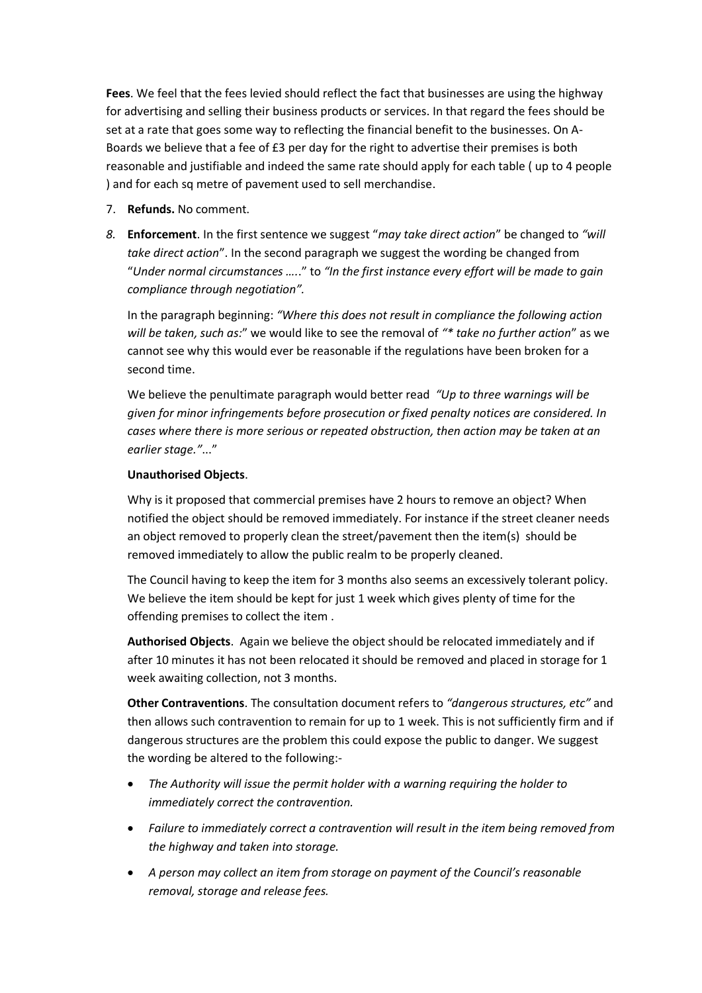**Fees**. We feel that the fees levied should reflect the fact that businesses are using the highway for advertising and selling their business products or services. In that regard the fees should be set at a rate that goes some way to reflecting the financial benefit to the businesses. On A-Boards we believe that a fee of £3 per day for the right to advertise their premises is both reasonable and justifiable and indeed the same rate should apply for each table ( up to 4 people ) and for each sq metre of pavement used to sell merchandise.

- 7. **Refunds.** No comment.
- *8.* **Enforcement**. In the first sentence we suggest "*may take direct action*" be changed to *"will take direct action*". In the second paragraph we suggest the wording be changed from "*Under normal circumstances ….*." to *"In the first instance every effort will be made to gain compliance through negotiation".*

In the paragraph beginning: *"Where this does not result in compliance the following action will be taken, such as:*" we would like to see the removal of *"\* take no further action*" as we cannot see why this would ever be reasonable if the regulations have been broken for a second time.

We believe the penultimate paragraph would better read *"Up to three warnings will be given for minor infringements before prosecution or fixed penalty notices are considered. In cases where there is more serious or repeated obstruction, then action may be taken at an earlier stage."*..."

#### **Unauthorised Objects**.

Why is it proposed that commercial premises have 2 hours to remove an object? When notified the object should be removed immediately. For instance if the street cleaner needs an object removed to properly clean the street/pavement then the item(s) should be removed immediately to allow the public realm to be properly cleaned.

The Council having to keep the item for 3 months also seems an excessively tolerant policy. We believe the item should be kept for just 1 week which gives plenty of time for the offending premises to collect the item .

**Authorised Objects**. Again we believe the object should be relocated immediately and if after 10 minutes it has not been relocated it should be removed and placed in storage for 1 week awaiting collection, not 3 months.

**Other Contraventions**. The consultation document refers to *"dangerous structures, etc"* and then allows such contravention to remain for up to 1 week. This is not sufficiently firm and if dangerous structures are the problem this could expose the public to danger. We suggest the wording be altered to the following:-

- *The Authority will issue the permit holder with a warning requiring the holder to immediately correct the contravention.*
- *Failure to immediately correct a contravention will result in the item being removed from the highway and taken into storage.*
- *A person may collect an item from storage on payment of the Council's reasonable removal, storage and release fees.*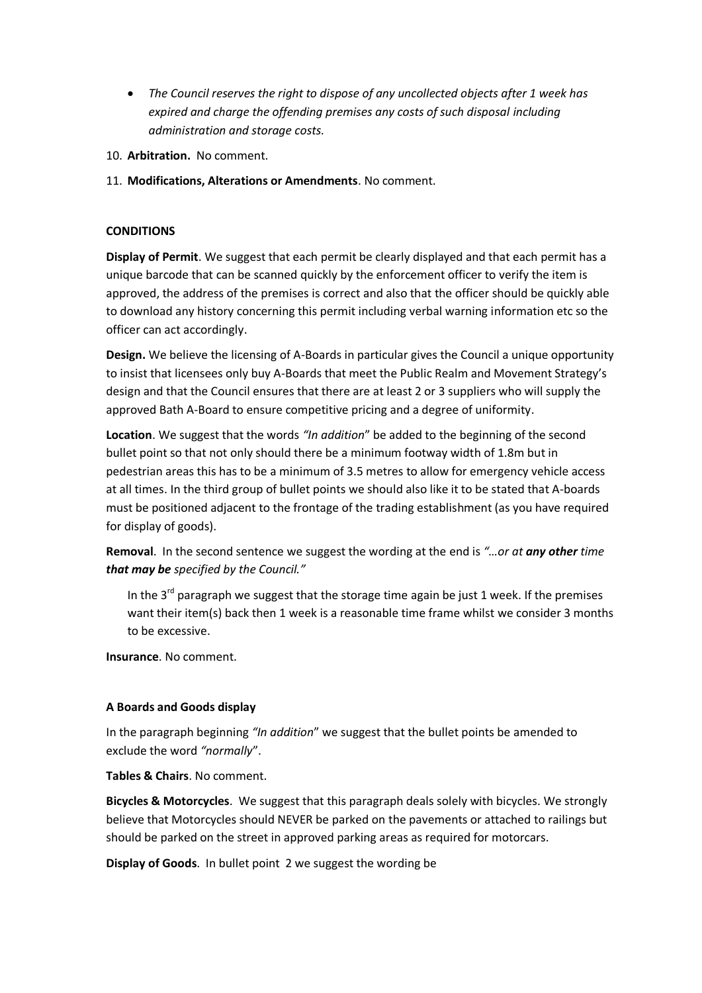- *The Council reserves the right to dispose of any uncollected objects after 1 week has expired and charge the offending premises any costs of such disposal including administration and storage costs.*
- 10. **Arbitration.** No comment.
- 11. **Modifications, Alterations or Amendments**. No comment.

#### **CONDITIONS**

**Display of Permit**. We suggest that each permit be clearly displayed and that each permit has a unique barcode that can be scanned quickly by the enforcement officer to verify the item is approved, the address of the premises is correct and also that the officer should be quickly able to download any history concerning this permit including verbal warning information etc so the officer can act accordingly.

**Design.** We believe the licensing of A-Boards in particular gives the Council a unique opportunity to insist that licensees only buy A-Boards that meet the Public Realm and Movement Strategy's design and that the Council ensures that there are at least 2 or 3 suppliers who will supply the approved Bath A-Board to ensure competitive pricing and a degree of uniformity.

**Location**. We suggest that the words *"In addition*" be added to the beginning of the second bullet point so that not only should there be a minimum footway width of 1.8m but in pedestrian areas this has to be a minimum of 3.5 metres to allow for emergency vehicle access at all times. In the third group of bullet points we should also like it to be stated that A-boards must be positioned adjacent to the frontage of the trading establishment (as you have required for display of goods).

**Removal**. In the second sentence we suggest the wording at the end is *"…or at any other time that may be specified by the Council."*

In the  $3^{rd}$  paragraph we suggest that the storage time again be just 1 week. If the premises want their item(s) back then 1 week is a reasonable time frame whilst we consider 3 months to be excessive.

**Insurance**. No comment.

## **A Boards and Goods display**

In the paragraph beginning *"In addition*" we suggest that the bullet points be amended to exclude the word *"normally*".

**Tables & Chairs**. No comment.

**Bicycles & Motorcycles**. We suggest that this paragraph deals solely with bicycles. We strongly believe that Motorcycles should NEVER be parked on the pavements or attached to railings but should be parked on the street in approved parking areas as required for motorcars.

**Display of Goods**. In bullet point 2 we suggest the wording be